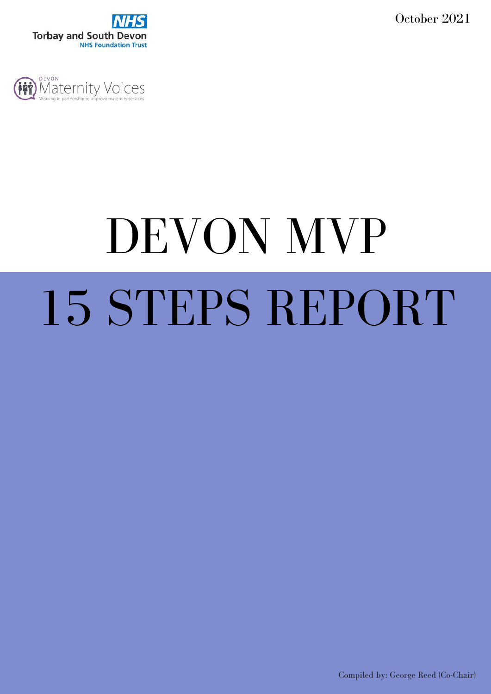October 2021





# DEVON MVP 15 STEPS REPORT

Compiled by: George Reed (Co-Chair)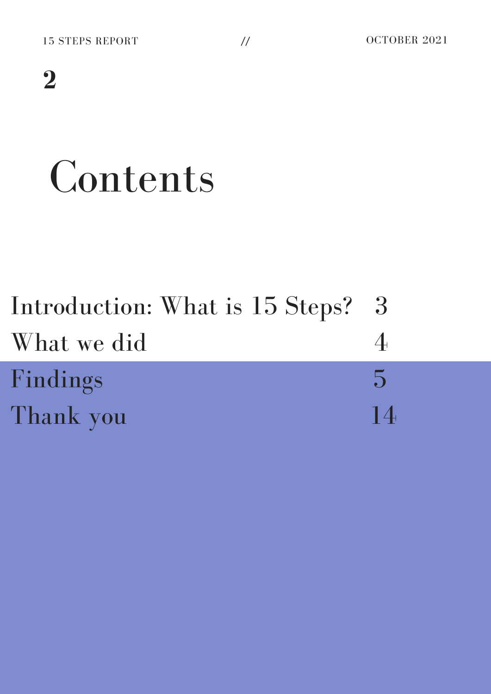# Contents

| Introduction: What is 15 Steps? 3 |                |
|-----------------------------------|----------------|
| What we did                       |                |
| Findings                          | $\overline{D}$ |
| Thank you                         | 14             |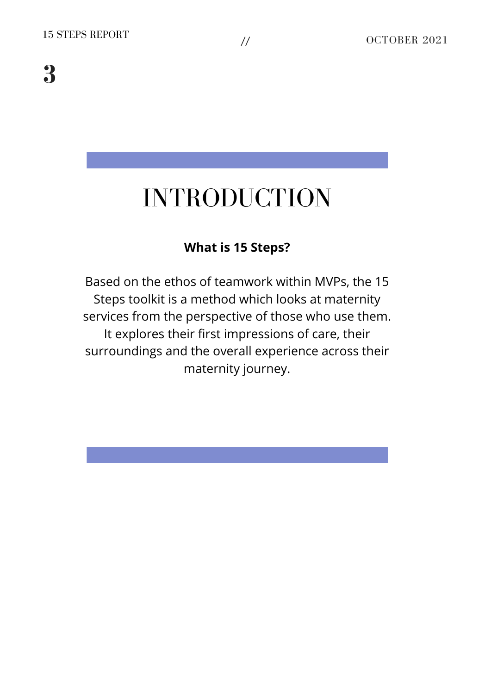### INTRODUCTION

### **What is 15 Steps?**

Based on the ethos of teamwork within MVPs, the 15 Steps toolkit is a method which looks at maternity services from the perspective of those who use them. It explores their first impressions of care, their surroundings and the overall experience across their maternity journey.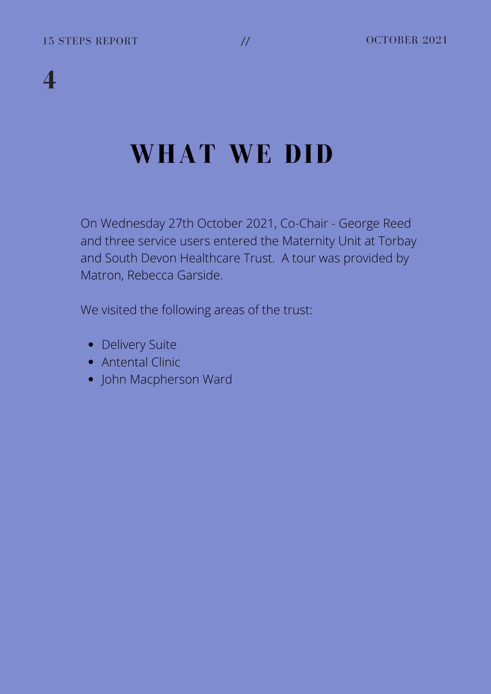### **WHAT WE DID**

On Wednesday 27th October 2021, Co-Chair - George Reed and three service users entered the Maternity Unit at Torbay and South Devon Healthcare Trust. A tour was provided by Matron, Rebecca Garside.

We visited the following areas of the trust:

- Delivery Suite
- Antental Clinic
- John Macpherson Ward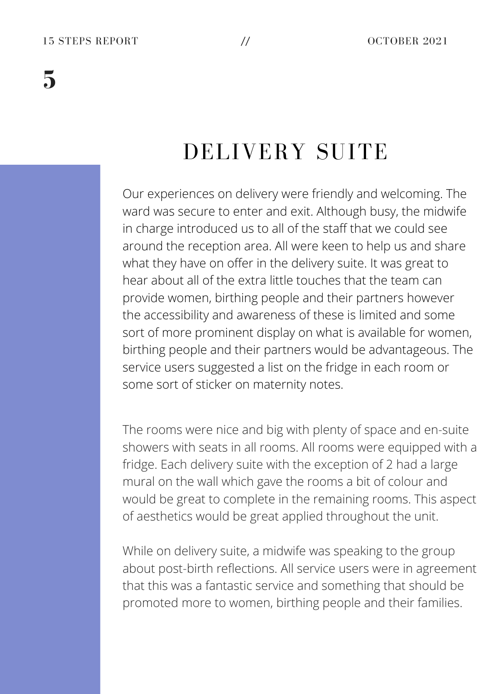### DELIVERY SUITE

Our experiences on delivery were friendly and welcoming. The ward was secure to enter and exit. Although busy, the midwife in charge introduced us to all of the staff that we could see around the reception area. All were keen to help us and share what they have on offer in the delivery suite. It was great to hear about all of the extra little touches that the team can provide women, birthing people and their partners however the accessibility and awareness of these is limited and some sort of more prominent display on what is available for women, birthing people and their partners would be advantageous. The service users suggested a list on the fridge in each room or some sort of sticker on maternity notes.

The rooms were nice and big with plenty of space and en-suite showers with seats in all rooms. All rooms were equipped with a fridge. Each delivery suite with the exception of 2 had a large mural on the wall which gave the rooms a bit of colour and would be great to complete in the remaining rooms. This aspect of aesthetics would be great applied throughout the unit.

While on delivery suite, a midwife was speaking to the group about post-birth reflections. All service users were in agreement that this was a fantastic service and something that should be promoted more to women, birthing people and their families.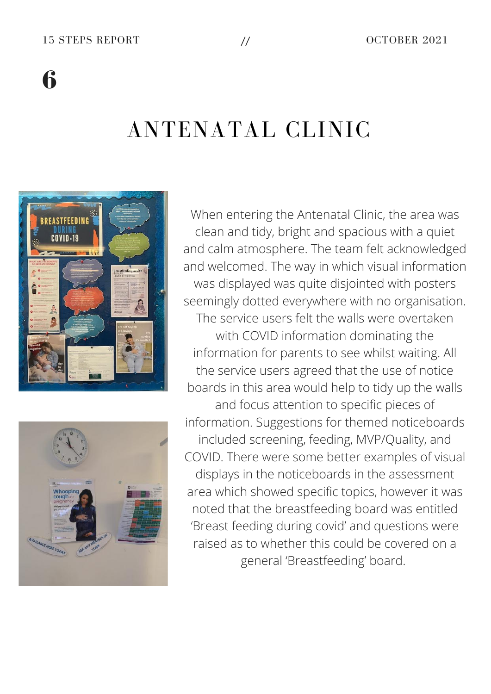### ANTENATAL CLINIC





When entering the Antenatal Clinic, the area was clean and tidy, bright and spacious with a quiet and calm atmosphere. The team felt acknowledged and welcomed. The way in which visual information was displayed was quite disjointed with posters seemingly dotted everywhere with no organisation. The service users felt the walls were overtaken with COVID information dominating the information for parents to see whilst waiting. All the service users agreed that the use of notice boards in this area would help to tidy up the walls and focus attention to specific pieces of information. Suggestions for themed noticeboards included screening, feeding, MVP/Quality, and COVID. There were some better examples of visual displays in the noticeboards in the assessment area which showed specific topics, however it was noted that the breastfeeding board was entitled 'Breast feeding during covid' and questions were raised as to whether this could be covered on a general 'Breastfeeding' board.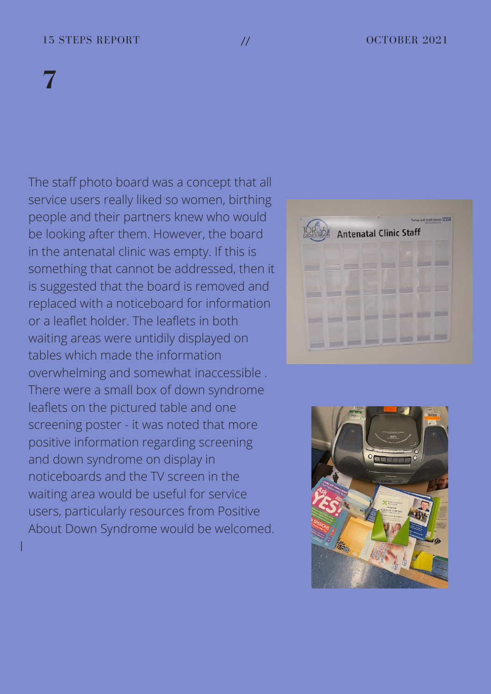### 15 STEPS REPORT // OCTOBER 2021

### **7**

I

The staff photo board was a concept that all service users really liked so women, birthing people and their partners knew who would be looking after them. However, the board in the antenatal clinic was empty. If this is something that cannot be addressed, then it is suggested that the board is removed and replaced with a noticeboard for information or a leaflet holder. The leaflets in both waiting areas were untidily displayed on tables which made the information overwhelming and somewhat inaccessible . There were a small box of down syndrome leaflets on the pictured table and one screening poster - it was noted that more positive information regarding screening and down syndrome on display in noticeboards and the TV screen in the waiting area would be useful for service users, particularly resources from Positive About Down Syndrome would be welcomed.



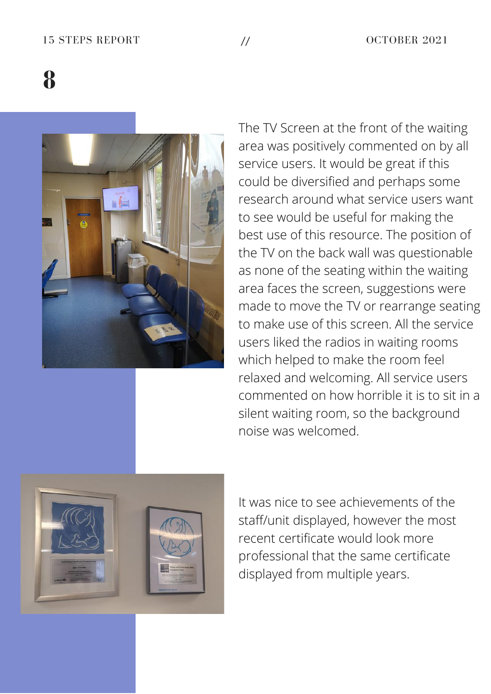### 15 STEPS REPORT // OCTOBER 2021

**8**



The TV Screen at the front of the waiting area was positively commented on by all service users. It would be great if this could be diversified and perhaps some research around what service users want to see would be useful for making the best use of this resource. The position of the TV on the back wall was questionable as none of the seating within the waiting area faces the screen, suggestions were made to move the TV or rearrange seating to make use of this screen. All the service users liked the radios in waiting rooms which helped to make the room feel relaxed and welcoming. All service users commented on how horrible it is to sit in a silent waiting room, so the background noise was welcomed.



It was nice to see achievements of the staff/unit displayed, however the most recent certificate would look more professional that the same certificate displayed from multiple years.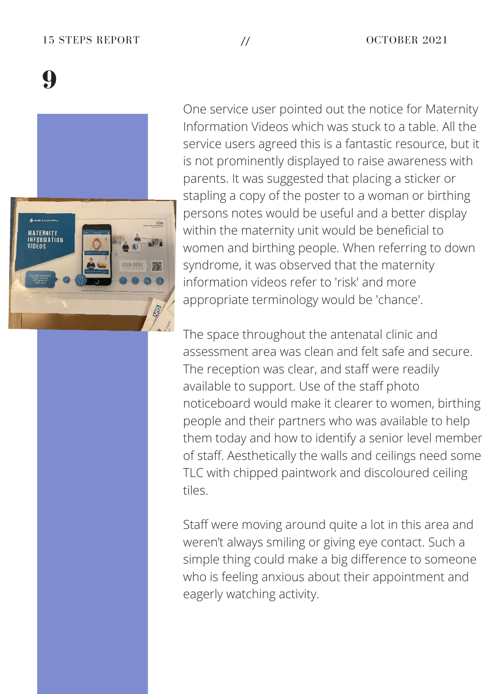### 15 STEPS REPORT // OCTOBER 2021

**9**



One service user pointed out the notice for Maternity Information Videos which was stuck to a table. All the service users agreed this is a fantastic resource, but it is not prominently displayed to raise awareness with parents. It was suggested that placing a sticker or stapling a copy of the poster to a woman or birthing persons notes would be useful and a better display within the maternity unit would be beneficial to women and birthing people. When referring to down syndrome, it was observed that the maternity information videos refer to 'risk' and more appropriate terminology would be 'chance'.

The space throughout the antenatal clinic and assessment area was clean and felt safe and secure. The reception was clear, and staff were readily available to support. Use of the staff photo noticeboard would make it clearer to women, birthing people and their partners who was available to help them today and how to identify a senior level member of staff. Aesthetically the walls and ceilings need some TLC with chipped paintwork and discoloured ceiling tiles.

Staff were moving around quite a lot in this area and weren't always smiling or giving eye contact. Such a simple thing could make a big difference to someone who is feeling anxious about their appointment and eagerly watching activity.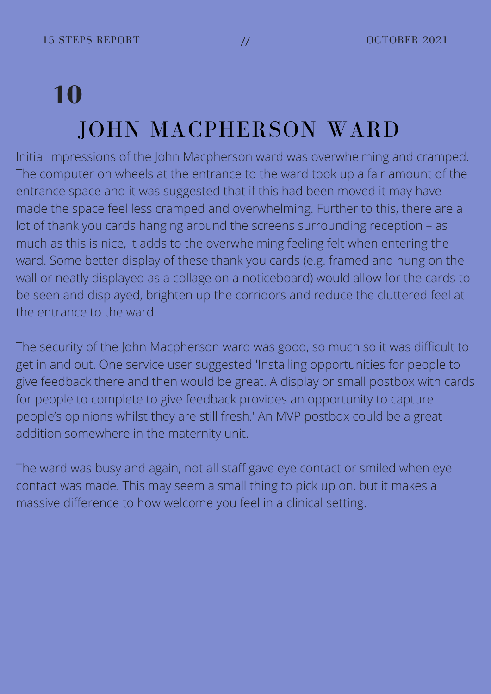## **10** JOHN MACPHERSON WARD

Initial impressions of the John Macpherson ward was overwhelming and cramped. The computer on wheels at the entrance to the ward took up a fair amount of the entrance space and it was suggested that if this had been moved it may have made the space feel less cramped and overwhelming. Further to this, there are a lot of thank you cards hanging around the screens surrounding reception – as much as this is nice, it adds to the overwhelming feeling felt when entering the ward. Some better display of these thank you cards (e.g. framed and hung on the wall or neatly displayed as a collage on a noticeboard) would allow for the cards to be seen and displayed, brighten up the corridors and reduce the cluttered feel at the entrance to the ward.

The security of the John Macpherson ward was good, so much so it was difficult to get in and out. One service user suggested 'Installing opportunities for people to give feedback there and then would be great. A display or small postbox with cards for people to complete to give feedback provides an opportunity to capture people's opinions whilst they are still fresh.' An MVP postbox could be a great addition somewhere in the maternity unit.

The ward was busy and again, not all staff gave eye contact or smiled when eye contact was made. This may seem a small thing to pick up on, but it makes a massive difference to how welcome you feel in a clinical setting.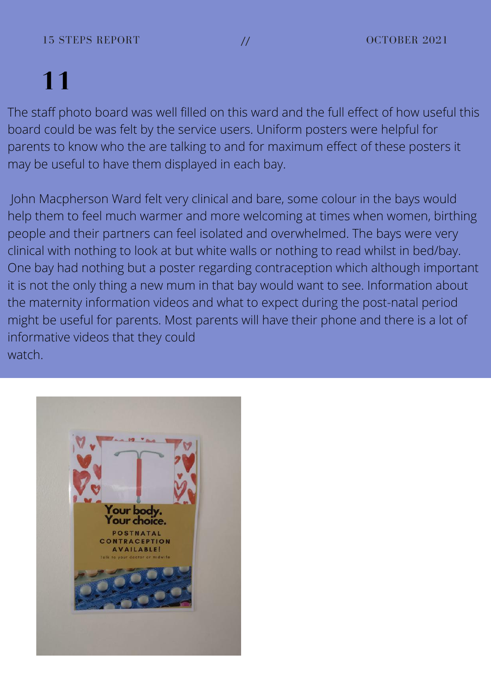The staff photo board was well filled on this ward and the full effect of how useful this board could be was felt by the service users. Uniform posters were helpful for parents to know who the are talking to and for maximum effect of these posters it may be useful to have them displayed in each bay.

John Macpherson Ward felt very clinical and bare, some colour in the bays would help them to feel much warmer and more welcoming at times when women, birthing people and their partners can feel isolated and overwhelmed. The bays were very clinical with nothing to look at but white walls or nothing to read whilst in bed/bay. One bay had nothing but a poster regarding contraception which although important it is not the only thing a new mum in that bay would want to see. Information about the maternity information videos and what to expect during the post-natal period might be useful for parents. Most parents will have their phone and there is a lot of informative videos that they could watch.

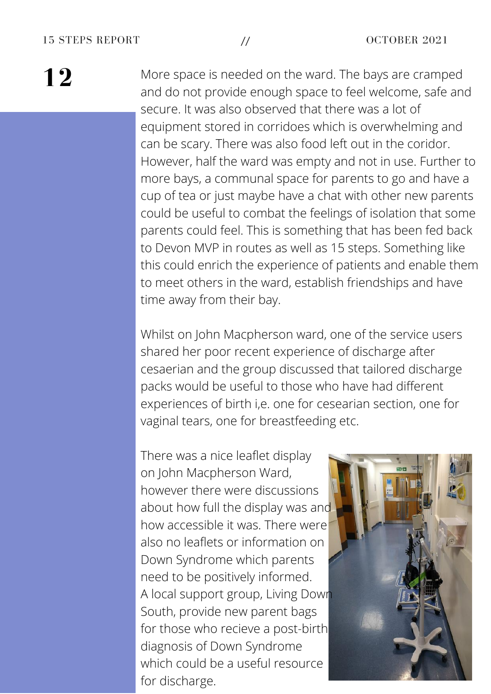More space is needed on the ward. The bays are cramped and do not provide enough space to feel welcome, safe and secure. It was also observed that there was a lot of equipment stored in corridoes which is overwhelming and can be scary. There was also food left out in the coridor. However, half the ward was empty and not in use. Further to more bays, a communal space for parents to go and have a cup of tea or just maybe have a chat with other new parents could be useful to combat the feelings of isolation that some parents could feel. This is something that has been fed back to Devon MVP in routes as well as 15 steps. Something like this could enrich the experience of patients and enable them to meet others in the ward, establish friendships and have time away from their bay.

Whilst on John Macpherson ward, one of the service users shared her poor recent experience of discharge after cesaerian and the group discussed that tailored discharge packs would be useful to those who have had different experiences of birth i,e. one for cesearian section, one for vaginal tears, one for breastfeeding etc.

There was a nice leaflet display on John Macpherson Ward, however there were discussions about how full the display was and how accessible it was. There were also no leaflets or information on Down Syndrome which parents need to be positively informed. A local support group, Living Down South, provide new parent bags for those who recieve a post-birth diagnosis of Down Syndrome which could be a useful resource for discharge.

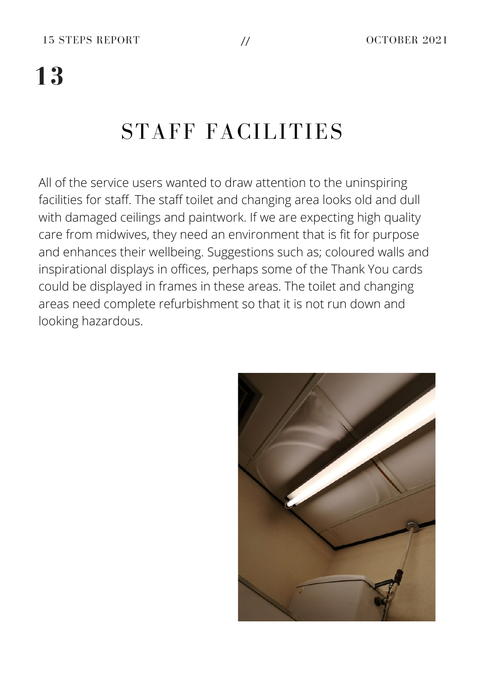### STAFF FACILITIES

All of the service users wanted to draw attention to the uninspiring facilities for staff. The staff toilet and changing area looks old and dull with damaged ceilings and paintwork. If we are expecting high quality care from midwives, they need an environment that is fit for purpose and enhances their wellbeing. Suggestions such as; coloured walls and inspirational displays in offices, perhaps some of the Thank You cards could be displayed in frames in these areas. The toilet and changing areas need complete refurbishment so that it is not run down and looking hazardous.